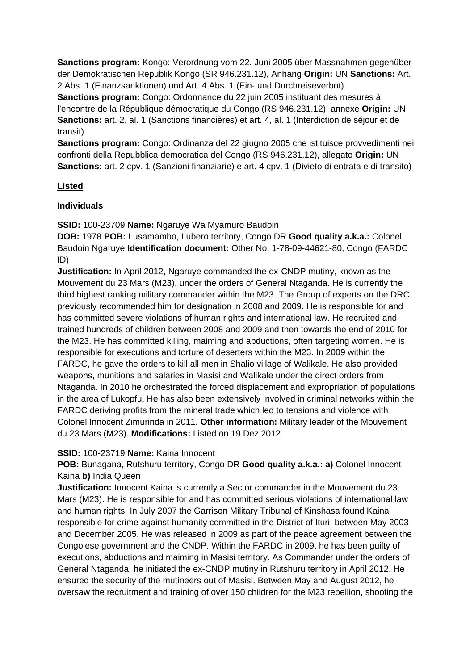**Sanctions program:** Kongo: Verordnung vom 22. Juni 2005 über Massnahmen gegenüber der Demokratischen Republik Kongo (SR 946.231.12), Anhang **Origin:** UN **Sanctions:** Art. 2 Abs. 1 (Finanzsanktionen) und Art. 4 Abs. 1 (Ein- und Durchreiseverbot)

**Sanctions program:** Congo: Ordonnance du 22 juin 2005 instituant des mesures à l'encontre de la République démocratique du Congo (RS 946.231.12), annexe **Origin:** UN **Sanctions:** art. 2, al. 1 (Sanctions financières) et art. 4, al. 1 (Interdiction de séjour et de transit)

**Sanctions program:** Congo: Ordinanza del 22 giugno 2005 che istituisce provvedimenti nei confronti della Repubblica democratica del Congo (RS 946.231.12), allegato **Origin:** UN **Sanctions:** art. 2 cpv. 1 (Sanzioni finanziarie) e art. 4 cpv. 1 (Divieto di entrata e di transito)

## **Listed**

## **Individuals**

**SSID:** 100-23709 **Name:** Ngaruye Wa Myamuro Baudoin

**DOB:** 1978 **POB:** Lusamambo, Lubero territory, Congo DR **Good quality a.k.a.:** Colonel Baudoin Ngaruye **Identification document:** Other No. 1-78-09-44621-80, Congo (FARDC ID)

**Justification:** In April 2012, Ngaruye commanded the ex-CNDP mutiny, known as the Mouvement du 23 Mars (M23), under the orders of General Ntaganda. He is currently the third highest ranking military commander within the M23. The Group of experts on the DRC previously recommended him for designation in 2008 and 2009. He is responsible for and has committed severe violations of human rights and international law. He recruited and trained hundreds of children between 2008 and 2009 and then towards the end of 2010 for the M23. He has committed killing, maiming and abductions, often targeting women. He is responsible for executions and torture of deserters within the M23. In 2009 within the FARDC, he gave the orders to kill all men in Shalio village of Walikale. He also provided weapons, munitions and salaries in Masisi and Walikale under the direct orders from Ntaganda. In 2010 he orchestrated the forced displacement and expropriation of populations in the area of Lukopfu. He has also been extensively involved in criminal networks within the FARDC deriving profits from the mineral trade which led to tensions and violence with Colonel Innocent Zimurinda in 2011. **Other information:** Military leader of the Mouvement du 23 Mars (M23). **Modifications:** Listed on 19 Dez 2012

## **SSID:** 100-23719 **Name:** Kaina Innocent

**POB:** Bunagana, Rutshuru territory, Congo DR **Good quality a.k.a.: a)** Colonel Innocent Kaina **b)** India Queen

**Justification:** Innocent Kaina is currently a Sector commander in the Mouvement du 23 Mars (M23). He is responsible for and has committed serious violations of international law and human rights. In July 2007 the Garrison Military Tribunal of Kinshasa found Kaina responsible for crime against humanity committed in the District of Ituri, between May 2003 and December 2005. He was released in 2009 as part of the peace agreement between the Congolese government and the CNDP. Within the FARDC in 2009, he has been guilty of executions, abductions and maiming in Masisi territory. As Commander under the orders of General Ntaganda, he initiated the ex-CNDP mutiny in Rutshuru territory in April 2012. He ensured the security of the mutineers out of Masisi. Between May and August 2012, he oversaw the recruitment and training of over 150 children for the M23 rebellion, shooting the